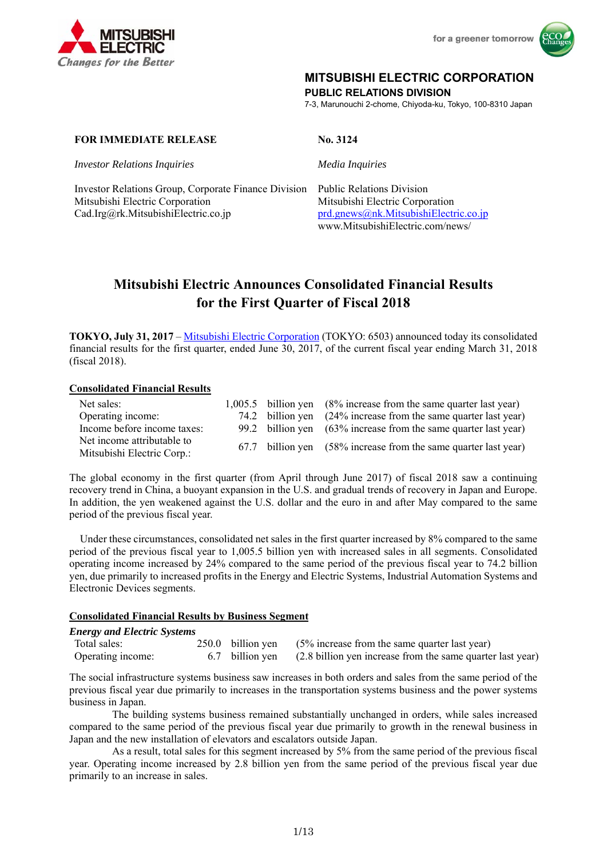



### **MITSUBISHI ELECTRIC CORPORATION**

**PUBLIC RELATIONS DIVISION** 

7-3, Marunouchi 2-chome, Chiyoda-ku, Tokyo, 100-8310 Japan

### **FOR IMMEDIATE RELEASE** No. 3124

*Investor Relations Inquiries Media Inquiries*

Investor Relations Group, Corporate Finance Division Public Relations Division Mitsubishi Electric Corporation Mitsubishi Electric Corporation Cad.Irg@rk.MitsubishiElectric.co.jp prd.gnews@nk.MitsubishiElectric.co.jp

www.MitsubishiElectric.com/news/

# **Mitsubishi Electric Announces Consolidated Financial Results for the First Quarter of Fiscal 2018**

**TOKYO, July 31, 2017** – Mitsubishi Electric Corporation (TOKYO: 6503) announced today its consolidated financial results for the first quarter, ended June 30, 2017, of the current fiscal year ending March 31, 2018 (fiscal 2018).

### **Consolidated Financial Results**

| Net sales:                  |  | 1,005.5 billion yen (8% increase from the same quarter last year) |
|-----------------------------|--|-------------------------------------------------------------------|
| Operating income:           |  | 74.2 billion yen (24% increase from the same quarter last year)   |
| Income before income taxes: |  | 99.2 billion yen (63% increase from the same quarter last year)   |
| Net income attributable to  |  | 67.7 billion yen (58% increase from the same quarter last year)   |
| Mitsubishi Electric Corp.:  |  |                                                                   |

The global economy in the first quarter (from April through June 2017) of fiscal 2018 saw a continuing recovery trend in China, a buoyant expansion in the U.S. and gradual trends of recovery in Japan and Europe. In addition, the yen weakened against the U.S. dollar and the euro in and after May compared to the same period of the previous fiscal year.

Under these circumstances, consolidated net sales in the first quarter increased by 8% compared to the same period of the previous fiscal year to 1,005.5 billion yen with increased sales in all segments. Consolidated operating income increased by 24% compared to the same period of the previous fiscal year to 74.2 billion yen, due primarily to increased profits in the Energy and Electric Systems, Industrial Automation Systems and Electronic Devices segments.

### **Consolidated Financial Results by Business Segment**

### *Energy and Electric Systems*  Total sales: 250.0 billion yen (5% increase from the same quarter last year) Operating income: 6.7 billion yen (2.8 billion yen increase from the same quarter last year)

The social infrastructure systems business saw increases in both orders and sales from the same period of the previous fiscal year due primarily to increases in the transportation systems business and the power systems business in Japan.

The building systems business remained substantially unchanged in orders, while sales increased compared to the same period of the previous fiscal year due primarily to growth in the renewal business in Japan and the new installation of elevators and escalators outside Japan.

As a result, total sales for this segment increased by 5% from the same period of the previous fiscal year. Operating income increased by 2.8 billion yen from the same period of the previous fiscal year due primarily to an increase in sales.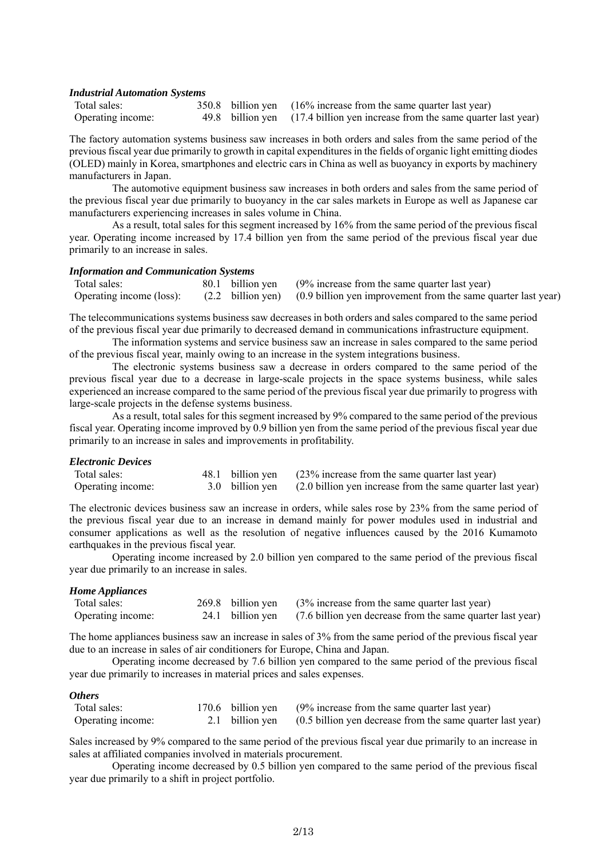#### *Industrial Automation Systems*

| Total sales:      |  | 350.8 billion yen (16% increase from the same quarter last year)             |
|-------------------|--|------------------------------------------------------------------------------|
| Operating income: |  | 49.8 billion yen (17.4 billion yen increase from the same quarter last year) |

The factory automation systems business saw increases in both orders and sales from the same period of the previous fiscal year due primarily to growth in capital expenditures in the fields of organic light emitting diodes (OLED) mainly in Korea, smartphones and electric cars in China as well as buoyancy in exports by machinery manufacturers in Japan.

The automotive equipment business saw increases in both orders and sales from the same period of the previous fiscal year due primarily to buoyancy in the car sales markets in Europe as well as Japanese car manufacturers experiencing increases in sales volume in China.

 As a result, total sales for this segment increased by 16% from the same period of the previous fiscal year. Operating income increased by 17.4 billion yen from the same period of the previous fiscal year due primarily to an increase in sales.

#### *Information and Communication Systems*

| Total sales: |  | 80.1 billion yen (9% increase from the same quarter last year)                                           |
|--------------|--|----------------------------------------------------------------------------------------------------------|
|              |  | Operating income (loss): (2.2 billion yen) (0.9 billion yen improvement from the same quarter last year) |

The telecommunications systems business saw decreases in both orders and sales compared to the same period of the previous fiscal year due primarily to decreased demand in communications infrastructure equipment.

The information systems and service business saw an increase in sales compared to the same period of the previous fiscal year, mainly owing to an increase in the system integrations business.

The electronic systems business saw a decrease in orders compared to the same period of the previous fiscal year due to a decrease in large-scale projects in the space systems business, while sales experienced an increase compared to the same period of the previous fiscal year due primarily to progress with large-scale projects in the defense systems business.

As a result, total sales for this segment increased by 9% compared to the same period of the previous fiscal year. Operating income improved by 0.9 billion yen from the same period of the previous fiscal year due primarily to an increase in sales and improvements in profitability.

#### *Electronic Devices*

| Total sales:      |  | 48.1 billion yen (23% increase from the same quarter last year)            |
|-------------------|--|----------------------------------------------------------------------------|
| Operating income: |  | 3.0 billion yen (2.0 billion yen increase from the same quarter last year) |

The electronic devices business saw an increase in orders, while sales rose by 23% from the same period of the previous fiscal year due to an increase in demand mainly for power modules used in industrial and consumer applications as well as the resolution of negative influences caused by the 2016 Kumamoto earthquakes in the previous fiscal year.

Operating income increased by 2.0 billion yen compared to the same period of the previous fiscal year due primarily to an increase in sales.

#### *Home Appliances*

| Total sales:      |  | 269.8 billion yen (3% increase from the same quarter last year)             |
|-------------------|--|-----------------------------------------------------------------------------|
| Operating income: |  | 24.1 billion yen (7.6 billion yen decrease from the same quarter last year) |

The home appliances business saw an increase in sales of 3% from the same period of the previous fiscal year due to an increase in sales of air conditioners for Europe, China and Japan.

Operating income decreased by 7.6 billion yen compared to the same period of the previous fiscal year due primarily to increases in material prices and sales expenses.

#### *Others*

| Total sales:      |  | 170.6 billion yen (9% increase from the same quarter last year)            |
|-------------------|--|----------------------------------------------------------------------------|
| Operating income: |  | 2.1 billion yen (0.5 billion yen decrease from the same quarter last year) |

Sales increased by 9% compared to the same period of the previous fiscal year due primarily to an increase in sales at affiliated companies involved in materials procurement.

Operating income decreased by 0.5 billion yen compared to the same period of the previous fiscal year due primarily to a shift in project portfolio.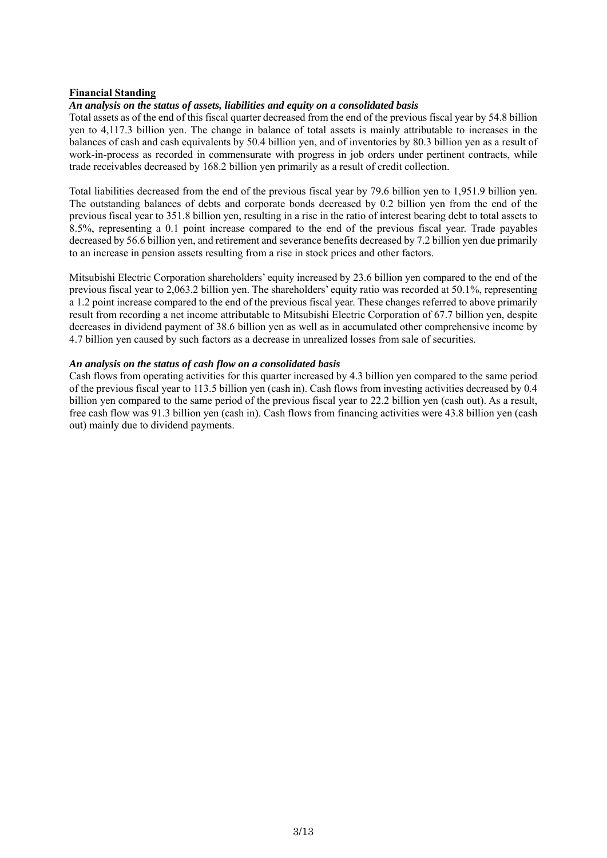### **Financial Standing**

### *An analysis on the status of assets, liabilities and equity on a consolidated basis*

Total assets as of the end of this fiscal quarter decreased from the end of the previous fiscal year by 54.8 billion yen to 4,117.3 billion yen. The change in balance of total assets is mainly attributable to increases in the balances of cash and cash equivalents by 50.4 billion yen, and of inventories by 80.3 billion yen as a result of work-in-process as recorded in commensurate with progress in job orders under pertinent contracts, while trade receivables decreased by 168.2 billion yen primarily as a result of credit collection.

Total liabilities decreased from the end of the previous fiscal year by 79.6 billion yen to 1,951.9 billion yen. The outstanding balances of debts and corporate bonds decreased by 0.2 billion yen from the end of the previous fiscal year to 351.8 billion yen, resulting in a rise in the ratio of interest bearing debt to total assets to 8.5%, representing a 0.1 point increase compared to the end of the previous fiscal year. Trade payables decreased by 56.6 billion yen, and retirement and severance benefits decreased by 7.2 billion yen due primarily to an increase in pension assets resulting from a rise in stock prices and other factors.

Mitsubishi Electric Corporation shareholders' equity increased by 23.6 billion yen compared to the end of the previous fiscal year to 2,063.2 billion yen. The shareholders' equity ratio was recorded at 50.1%, representing a 1.2 point increase compared to the end of the previous fiscal year. These changes referred to above primarily result from recording a net income attributable to Mitsubishi Electric Corporation of 67.7 billion yen, despite decreases in dividend payment of 38.6 billion yen as well as in accumulated other comprehensive income by 4.7 billion yen caused by such factors as a decrease in unrealized losses from sale of securities.

### *An analysis on the status of cash flow on a consolidated basis*

Cash flows from operating activities for this quarter increased by 4.3 billion yen compared to the same period of the previous fiscal year to 113.5 billion yen (cash in). Cash flows from investing activities decreased by 0.4 billion yen compared to the same period of the previous fiscal year to 22.2 billion yen (cash out). As a result, free cash flow was 91.3 billion yen (cash in). Cash flows from financing activities were 43.8 billion yen (cash out) mainly due to dividend payments.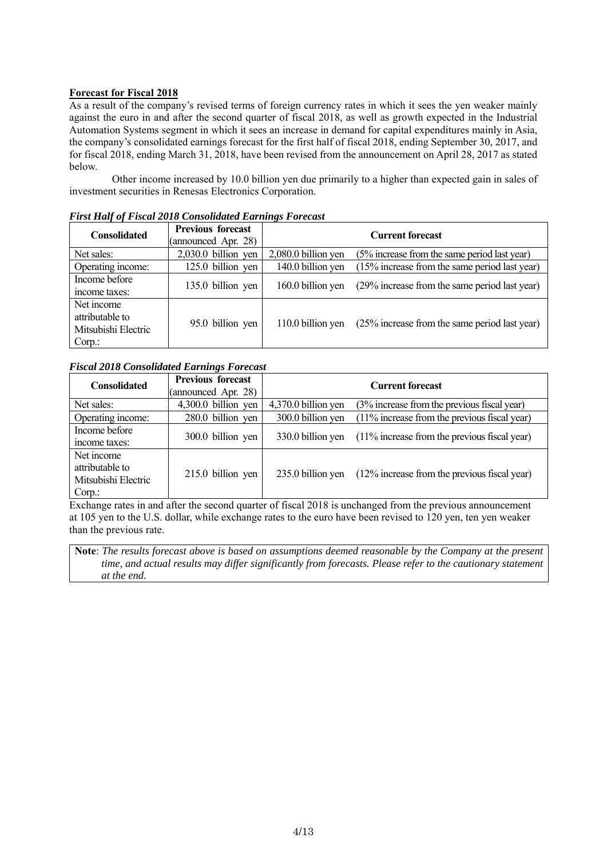### **Forecast for Fiscal 2018**

As a result of the company's revised terms of foreign currency rates in which it sees the yen weaker mainly against the euro in and after the second quarter of fiscal 2018, as well as growth expected in the Industrial Automation Systems segment in which it sees an increase in demand for capital expenditures mainly in Asia, the company's consolidated earnings forecast for the first half of fiscal 2018, ending September 30, 2017, and for fiscal 2018, ending March 31, 2018, have been revised from the announcement on April 28, 2017 as stated below.

Other income increased by 10.0 billion yen due primarily to a higher than expected gain in sales of investment securities in Renesas Electronics Corporation.

| <b>Consolidated</b>                                           | <b>Previous forecast</b><br>(announced Apr. 28) | <b>Current forecast</b> |                                                  |  |  |  |
|---------------------------------------------------------------|-------------------------------------------------|-------------------------|--------------------------------------------------|--|--|--|
| Net sales:                                                    | $2,030.0$ billion yen                           | 2,080.0 billion yen     | (5% increase from the same period last year)     |  |  |  |
| Operating income:                                             | 125.0 billion yen                               | 140.0 billion yen       | $(15\%$ increase from the same period last year) |  |  |  |
| Income before<br>income taxes:                                | 135.0 billion yen                               | 160.0 billion yen       | (29% increase from the same period last year)    |  |  |  |
| Net income<br>attributable to<br>Mitsubishi Electric<br>Corp. | 95.0 billion yen                                | 110.0 billion yen       | (25% increase from the same period last year)    |  |  |  |

*First Half of Fiscal 2018 Consolidated Earnings Forecast* 

### *Fiscal 2018 Consolidated Earnings Forecast*

| <b>Consolidated</b>                                           | <b>Previous forecast</b><br>(announced Apr. 28) | <b>Current forecast</b> |                                                 |  |  |  |
|---------------------------------------------------------------|-------------------------------------------------|-------------------------|-------------------------------------------------|--|--|--|
| Net sales:                                                    | 4,300.0 billion yen                             | 4,370.0 billion yen     | (3% increase from the previous fiscal year)     |  |  |  |
| Operating income:                                             | 280.0 billion yen                               | 300.0 billion yen       | $(11\%$ increase from the previous fiscal year) |  |  |  |
| Income before<br>income taxes:                                | 300.0 billion yen                               | 330.0 billion yen       | $(11\%$ increase from the previous fiscal year) |  |  |  |
| Net income<br>attributable to<br>Mitsubishi Electric<br>Corp. | 215.0 billion yen                               | 235.0 billion yen       | (12% increase from the previous fiscal year)    |  |  |  |

Exchange rates in and after the second quarter of fiscal 2018 is unchanged from the previous announcement at 105 yen to the U.S. dollar, while exchange rates to the euro have been revised to 120 yen, ten yen weaker than the previous rate.

**Note**: *The results forecast above is based on assumptions deemed reasonable by the Company at the present time, and actual results may differ significantly from forecasts. Please refer to the cautionary statement at the end.*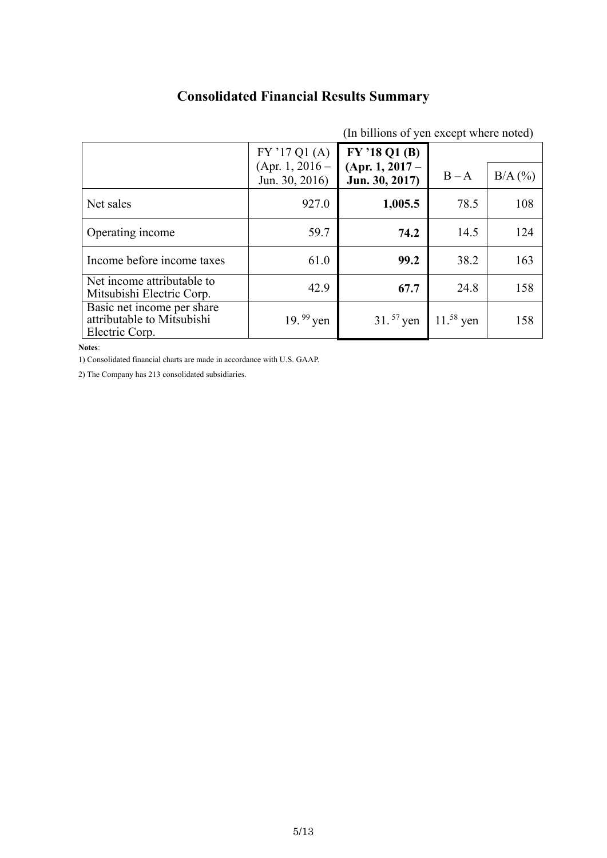# **Consolidated Financial Results Summary**

| (In billions of yen except where noted)                                    |                                     |                                     |               |           |
|----------------------------------------------------------------------------|-------------------------------------|-------------------------------------|---------------|-----------|
|                                                                            | FY'17Q1(A)                          | FY '18 Q1 (B)                       |               |           |
|                                                                            | $(Apr. 1, 2016 -$<br>Jun. 30, 2016) | $(Apr. 1, 2017 -$<br>Jun. 30, 2017) | $B - A$       | $B/A$ (%) |
| Net sales                                                                  | 927.0                               | 1,005.5                             | 78.5          | 108       |
| Operating income                                                           | 59.7                                | 74.2                                | 14.5          | 124       |
| Income before income taxes                                                 | 61.0                                | 99.2                                | 38.2          | 163       |
| Net income attributable to<br>Mitsubishi Electric Corp.                    | 42.9                                | 67.7                                | 24.8          | 158       |
| Basic net income per share<br>attributable to Mitsubishi<br>Electric Corp. | 19. $99$ yen                        | $31.57$ yen                         | $11^{58}$ yen | 158       |

**Notes**:

1) Consolidated financial charts are made in accordance with U.S. GAAP.

2) The Company has 213 consolidated subsidiaries.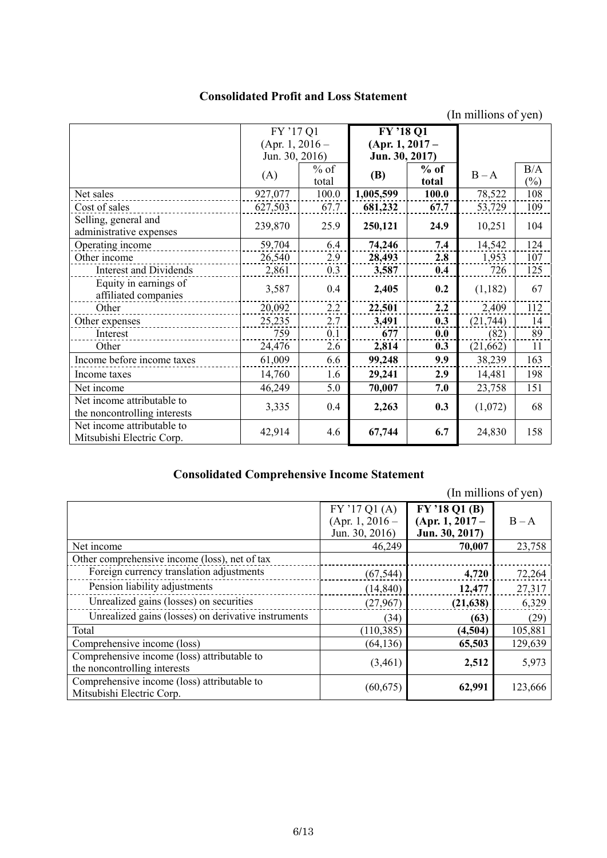### **Consolidated Profit and Loss Statement**

(In millions of yen)

|                                                         | FY '17 Q1       |        | FY'18 Q1          |        |           |                |
|---------------------------------------------------------|-----------------|--------|-------------------|--------|-----------|----------------|
|                                                         | (Apr. 1, 2016 – |        | $(Apr. 1, 2017 -$ |        |           |                |
|                                                         | Jun. 30, 2016)  |        | Jun. 30, 2017)    |        |           |                |
|                                                         | (A)             | $%$ of | <b>(B)</b>        | $%$ of | $B - A$   | B/A            |
|                                                         |                 | total  |                   | total  |           | $\binom{0}{0}$ |
| Net sales                                               | 927,077         | 100.0  | 1,005,599         | 100.0  | 78,522    | 108            |
| Cost of sales                                           | 627,503         | 67.7   | 681,232           | 67.7   | 53,729    | 109            |
| Selling, general and                                    | 239,870         | 25.9   | 250,121           | 24.9   | 10,251    | 104            |
| administrative expenses                                 |                 |        |                   |        |           |                |
| Operating income                                        | 59,704          | 6.4    | 74,246            | 7.4    | 14,542    | 124            |
| Other income                                            | 26,540          | 2.9    | 28,493            | 2.8    | 1,953     | 107            |
| <b>Interest and Dividends</b>                           | 2,861           | 0.3    | 3,587             | 0.4    | 726       | 125            |
| Equity in earnings of                                   | 3,587           | 0.4    | 2,405             | 0.2    | (1,182)   | 67             |
| affiliated companies                                    |                 |        |                   |        |           |                |
| Other                                                   | 20,092          | 2.2    | 22,501            | 2.2    | 2,409     | 112            |
| Other expenses                                          | 25,235          | 2.7    | 3,491             | 0.3    | (21, 744) | 14             |
| Interest                                                | 759             | 0.1    | 677               | 0.0    | (82)      | 89             |
| Other                                                   | 24,476          | 2.6    | 2,814             | 0.3    | (21, 662) | 11             |
| Income before income taxes                              | 61,009          | 6.6    | 99,248            | 9.9    | 38,239    | 163            |
| Income taxes                                            | 14,760          | 1.6    | 29,241            | 2.9    | 14,481    | 198            |
| Net income                                              | 46,249          | 5.0    | 70,007            | 7.0    | 23,758    | 151            |
| Net income attributable to                              | 3,335           | 0.4    | 2,263             | 0.3    | (1,072)   | 68             |
| the noncontrolling interests                            |                 |        |                   |        |           |                |
| Net income attributable to<br>Mitsubishi Electric Corp. | 42,914          | 4.6    | 67,744            | 6.7    | 24,830    | 158            |

## **Consolidated Comprehensive Income Statement**

|                                                     |                                                   |                                                      | (In millions of yen) |
|-----------------------------------------------------|---------------------------------------------------|------------------------------------------------------|----------------------|
|                                                     | FY'17Q1(A)<br>$(Apr. 1, 2016 -$<br>Jun. 30, 2016) | FY '18 Q1 (B)<br>$(Apr. 1, 2017 -$<br>Jun. 30, 2017) | $B - A$              |
| Net income                                          | 46,249                                            | 70,007                                               | 23,758               |
| Other comprehensive income (loss), net of tax       |                                                   |                                                      |                      |
| Foreign currency translation adjustments            | (67, 544)                                         | 4,720                                                | 72,264               |
| Pension liability adjustments                       | (14, 840)                                         | 12,477                                               | 27,317               |
| Unrealized gains (losses) on securities             | (27,967)                                          | (21, 638)                                            | 6,329                |
| Unrealized gains (losses) on derivative instruments | (34)                                              | (63)                                                 | (29)                 |
| Total                                               | (110, 385)                                        | (4,504)                                              | 105,881              |
| Comprehensive income (loss)                         | (64, 136)                                         | 65,503                                               | 129,639              |
| Comprehensive income (loss) attributable to         | (3,461)                                           | 2,512                                                | 5,973                |
| the noncontrolling interests                        |                                                   |                                                      |                      |
| Comprehensive income (loss) attributable to         | (60, 675)                                         | 62,991                                               | 123,666              |
| Mitsubishi Electric Corp.                           |                                                   |                                                      |                      |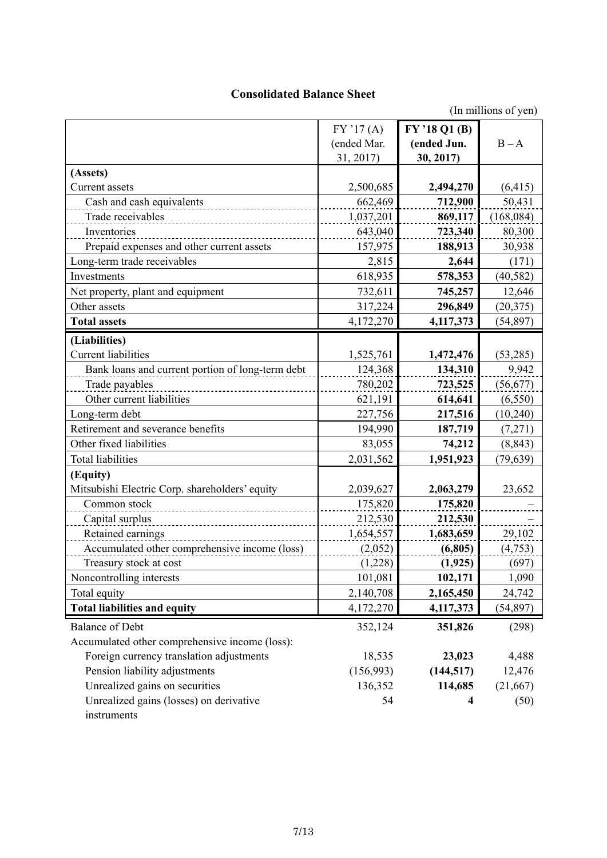### **Consolidated Balance Sheet**

(In millions of yen)

|                                                  | FY'17(A)    | FY '18 Q1 (B) |           |
|--------------------------------------------------|-------------|---------------|-----------|
|                                                  | (ended Mar. | (ended Jun.   | $B - A$   |
|                                                  | 31, 2017)   | 30, 2017)     |           |
| (Assets)                                         |             |               |           |
| Current assets                                   | 2,500,685   | 2,494,270     | (6, 415)  |
| Cash and cash equivalents                        | 662,469     | 712,900       | 50,431    |
| Trade receivables                                | 1,037,201   | 869,117       | (168,084) |
| Inventories                                      | 643,040     | 723,340       | 80,300    |
| Prepaid expenses and other current assets        | 157,975     | 188,913       | 30,938    |
| Long-term trade receivables                      | 2,815       | 2,644         | (171)     |
| Investments                                      | 618,935     | 578,353       | (40, 582) |
| Net property, plant and equipment                | 732,611     | 745,257       | 12,646    |
| Other assets                                     | 317,224     | 296,849       | (20, 375) |
| <b>Total assets</b>                              | 4,172,270   | 4,117,373     | (54, 897) |
| (Liabilities)                                    |             |               |           |
| <b>Current liabilities</b>                       | 1,525,761   | 1,472,476     | (53,285)  |
| Bank loans and current portion of long-term debt | 124,368     | 134,310       | 9,942     |
| Trade payables                                   | 780,202     | 723,525       | (56, 677) |
| Other current liabilities                        | 621,191     | 614,641       | (6, 550)  |
| Long-term debt                                   | 227,756     | 217,516       | (10, 240) |
| Retirement and severance benefits                | 194,990     | 187,719       | (7,271)   |
| Other fixed liabilities                          | 83,055      | 74,212        | (8, 843)  |
| <b>Total liabilities</b>                         | 2,031,562   | 1,951,923     | (79, 639) |
|                                                  |             |               |           |
| (Equity)                                         |             |               |           |
| Mitsubishi Electric Corp. shareholders' equity   | 2,039,627   | 2,063,279     | 23,652    |
| Common stock                                     | 175,820     | 175,820       |           |
| Capital surplus                                  | 212,530     | 212,530       |           |
| Retained earnings                                | 1,654,557   | 1,683,659     | 29,102    |
| Accumulated other comprehensive income (loss)    | (2,052)     | (6,805)       | (4,753)   |
| Treasury stock at cost                           | (1,228)     | (1, 925)      | (697)     |
| Noncontrolling interests                         | 101,081     | 102,171       | 1,090     |
| Total equity                                     | 2,140,708   | 2,165,450     | 24,742    |
| <b>Total liabilities and equity</b>              | 4,172,270   | 4, 117, 373   | (54,897)  |
| <b>Balance of Debt</b>                           | 352,124     | 351,826       | (298)     |
| Accumulated other comprehensive income (loss):   |             |               |           |
| Foreign currency translation adjustments         | 18,535      | 23,023        | 4,488     |
| Pension liability adjustments                    | (156,993)   | (144, 517)    | 12,476    |
| Unrealized gains on securities                   | 136,352     | 114,685       | (21,667)  |
| Unrealized gains (losses) on derivative          | 54          | 4             | (50)      |
| instruments                                      |             |               |           |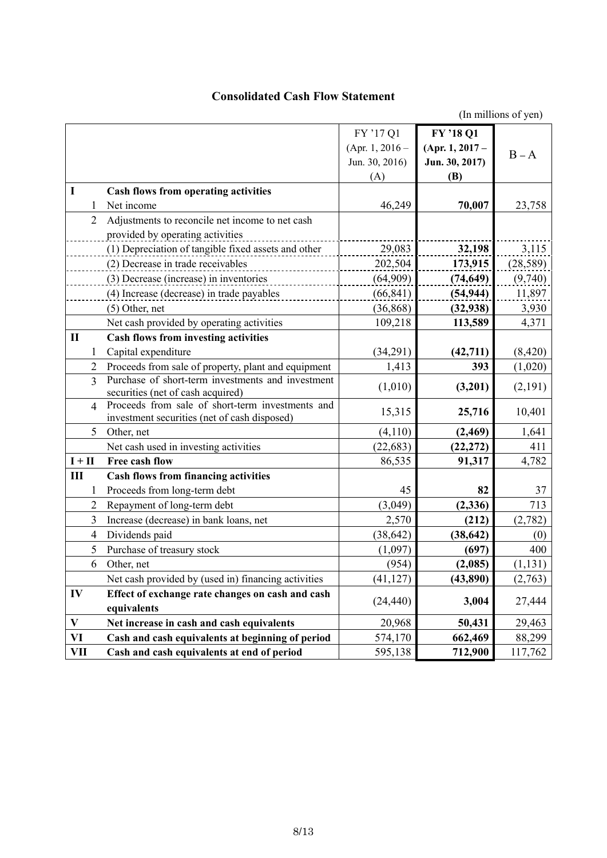### **Consolidated Cash Flow Statement**

(In millions of yen)

|              |                |                                                                                                  | FY '17 Q1       | FY '18 Q1       |           |
|--------------|----------------|--------------------------------------------------------------------------------------------------|-----------------|-----------------|-----------|
|              |                |                                                                                                  | (Apr. 1, 2016 – | (Apr. 1, 2017 – | $B - A$   |
|              |                |                                                                                                  | Jun. 30, 2016)  | Jun. 30, 2017)  |           |
|              |                |                                                                                                  | (A)             | (B)             |           |
| I            |                | <b>Cash flows from operating activities</b>                                                      |                 |                 |           |
|              | 1              | Net income                                                                                       | 46,249          | 70,007          | 23,758    |
|              | $\overline{2}$ | Adjustments to reconcile net income to net cash                                                  |                 |                 |           |
|              |                | provided by operating activities                                                                 |                 |                 |           |
|              |                | (1) Depreciation of tangible fixed assets and other                                              | 29,083          | 32,198          | 3,115     |
|              |                | (2) Decrease in trade receivables                                                                | 202,504         | 173,915         | (28, 589) |
|              |                | (3) Decrease (increase) in inventories                                                           | (64,909)        | (74, 649)       | (9,740)   |
|              |                | (4) Increase (decrease) in trade payables                                                        | (66, 841)       | (54, 944)       | 11,897    |
|              |                | (5) Other, net                                                                                   | (36, 868)       | (32, 938)       | 3,930     |
|              |                | Net cash provided by operating activities                                                        | 109,218         | 113,589         | 4,371     |
| $\mathbf{I}$ |                | Cash flows from investing activities                                                             |                 |                 |           |
|              | 1              | Capital expenditure                                                                              | (34,291)        | (42, 711)       | (8, 420)  |
|              | $\overline{2}$ | Proceeds from sale of property, plant and equipment                                              | 1,413           | 393             | (1,020)   |
|              | 3              | Purchase of short-term investments and investment                                                | (1,010)         | (3,201)         | (2,191)   |
|              |                | securities (net of cash acquired)                                                                |                 |                 |           |
|              | 4              | Proceeds from sale of short-term investments and<br>investment securities (net of cash disposed) | 15,315          | 25,716          | 10,401    |
|              | 5              | Other, net                                                                                       | (4,110)         | (2, 469)        | 1,641     |
|              |                | Net cash used in investing activities                                                            | (22, 683)       | (22, 272)       | 411       |
| $I + II$     |                | Free cash flow                                                                                   | 86,535          | 91,317          | 4,782     |
| Ш            |                | <b>Cash flows from financing activities</b>                                                      |                 |                 |           |
|              | 1              | Proceeds from long-term debt                                                                     | 45              | 82              | 37        |
|              | 2              | Repayment of long-term debt                                                                      | (3,049)         | (2, 336)        | 713       |
|              | 3              | Increase (decrease) in bank loans, net                                                           | 2,570           | (212)           | (2,782)   |
|              | 4              | Dividends paid                                                                                   | (38, 642)       | (38, 642)       | (0)       |
|              | 5              | Purchase of treasury stock                                                                       | (1,097)         | (697)           | 400       |
|              | 6              | Other, net                                                                                       | (954)           | (2,085)         | (1, 131)  |
|              |                | Net cash provided by (used in) financing activities                                              | (41, 127)       | (43,890)        | (2,763)   |
| IV           |                | Effect of exchange rate changes on cash and cash                                                 |                 |                 |           |
|              |                | equivalents                                                                                      | (24, 440)       | 3,004           | 27,444    |
| $\mathbf{V}$ |                | Net increase in cash and cash equivalents                                                        | 20,968          | 50,431          | 29,463    |
| VI           |                | Cash and cash equivalents at beginning of period                                                 | 574,170         | 662,469         | 88,299    |
| VII          |                | Cash and cash equivalents at end of period                                                       |                 |                 | 117,762   |
|              |                |                                                                                                  | 595,138         | 712,900         |           |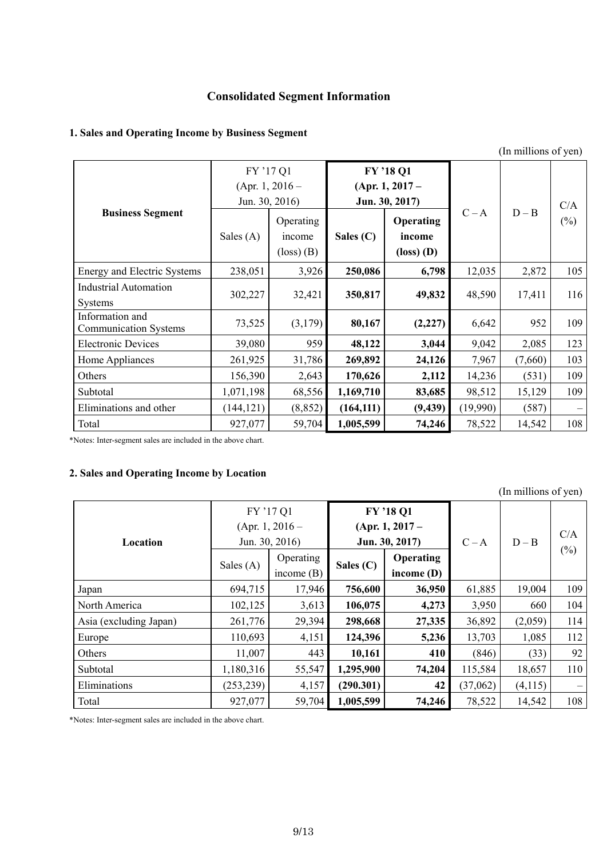## **Consolidated Segment Information**

### **1. Sales and Operating Income by Business Segment**

|                                                 |             |                                                                               |             |                                                                               |          | (In millions of yen) |               |  |
|-------------------------------------------------|-------------|-------------------------------------------------------------------------------|-------------|-------------------------------------------------------------------------------|----------|----------------------|---------------|--|
|                                                 | FY '17 Q1   | (Apr. 1, 2016 –<br>Jun. 30, 2016)                                             |             | FY '18 Q1<br>(Apr. 1, $2017-$<br>Jun. 30, 2017)                               |          |                      | C/A<br>$(\%)$ |  |
| <b>Business Segment</b>                         | Sales $(A)$ | Operating<br>income<br>$\left( \text{loss} \right)$ $\left( \text{B} \right)$ | Sales $(C)$ | Operating<br>income<br>$\left( \text{loss} \right)$ $\left( \text{D} \right)$ | $C - A$  | $D - B$              |               |  |
| <b>Energy and Electric Systems</b>              | 238,051     | 3,926                                                                         | 250,086     | 6,798                                                                         | 12,035   | 2,872                | 105           |  |
| <b>Industrial Automation</b><br><b>Systems</b>  | 302,227     | 32,421                                                                        | 350,817     | 49,832                                                                        | 48,590   | 17,411               | 116           |  |
| Information and<br><b>Communication Systems</b> | 73,525      | (3,179)                                                                       | 80,167      | (2,227)                                                                       | 6,642    | 952                  | 109           |  |
| <b>Electronic Devices</b>                       | 39,080      | 959                                                                           | 48,122      | 3,044                                                                         | 9,042    | 2,085                | 123           |  |
| Home Appliances                                 | 261,925     | 31,786                                                                        | 269,892     | 24,126                                                                        | 7,967    | (7,660)              | 103           |  |
| Others                                          | 156,390     | 2,643                                                                         | 170,626     | 2,112                                                                         | 14,236   | (531)                | 109           |  |
| Subtotal                                        | 1,071,198   | 68,556                                                                        | 1,169,710   | 83,685                                                                        | 98,512   | 15,129               | 109           |  |
| Eliminations and other                          | (144, 121)  | (8, 852)                                                                      | (164, 111)  | (9, 439)                                                                      | (19,990) | (587)                |               |  |
| Total                                           | 927,077     | 59,704                                                                        | 1,005,599   | 74,246                                                                        | 78,522   | 14,542               | 108           |  |

\*Notes: Inter-segment sales are included in the above chart.

### **2. Sales and Operating Income by Location**

|                        |             |                             |              |                   |          | (In millions of yen) |        |
|------------------------|-------------|-----------------------------|--------------|-------------------|----------|----------------------|--------|
|                        |             | FY '17 Q1                   |              | FY'18 Q1          |          |                      |        |
|                        |             | (Apr. 1, 2016 –             |              | $(Apr. 1, 2017 -$ |          |                      | C/A    |
| Location               |             | Jun. 30, 2016)              |              | Jun. 30, 2017)    | $C - A$  | $D - B$              |        |
|                        |             | Operating                   |              | <b>Operating</b>  |          |                      | $(\%)$ |
|                        | Sales $(A)$ | Sales $(C)$<br>income $(B)$ | income $(D)$ |                   |          |                      |        |
| Japan                  | 694,715     | 17,946                      | 756,600      | 36,950            | 61,885   | 19,004               | 109    |
| North America          | 102,125     | 3,613                       | 106,075      | 4,273             | 3,950    | 660                  | 104    |
| Asia (excluding Japan) | 261,776     | 29,394                      | 298,668      | 27,335            | 36,892   | (2,059)              | 114    |
| Europe                 | 110,693     | 4,151                       | 124,396      | 5,236             | 13,703   | 1,085                | 112    |
| Others                 | 11,007      | 443                         | 10,161       | 410               | (846)    | (33)                 | 92     |
| Subtotal               | 1,180,316   | 55,547                      | 1,295,900    | 74,204            | 115,584  | 18,657               | 110    |
| Eliminations           | (253, 239)  | 4,157                       | (290.301)    | 42                | (37,062) | (4,115)              |        |
| Total                  | 927,077     | 59,704                      | 1,005,599    | 74,246            | 78,522   | 14,542               | 108    |

\*Notes: Inter-segment sales are included in the above chart.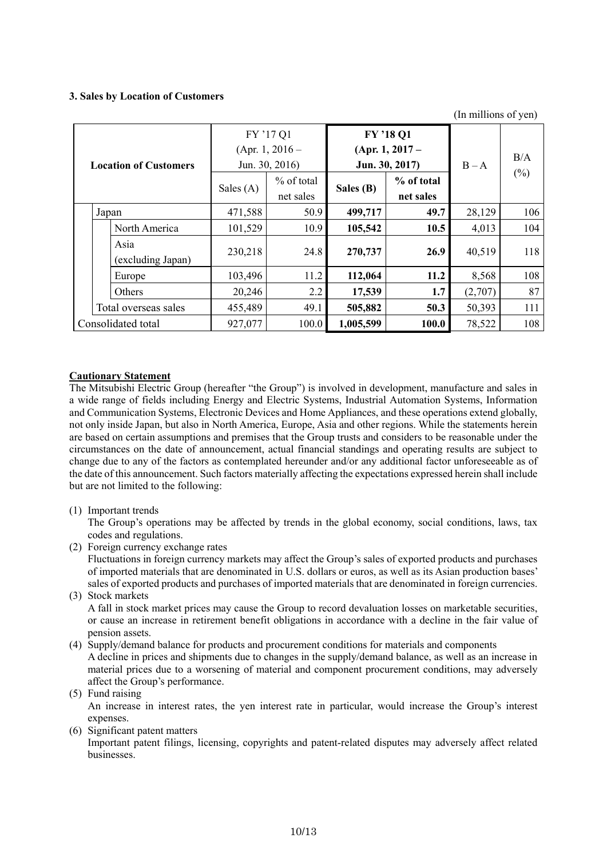### **3. Sales by Location of Customers**

(In millions of yen)

| <b>Location of Customers</b> |                           |             | FY '17 Q1<br>(Apr. 1, 2016 –<br>Jun. 30, 2016) |           | FY'18 Q1<br>$(Apr. 1, 2017 -$<br>Jun. 30, 2017) | $B - A$ | B/A<br>$(\%)$ |  |
|------------------------------|---------------------------|-------------|------------------------------------------------|-----------|-------------------------------------------------|---------|---------------|--|
|                              |                           | Sales $(A)$ | $%$ of total<br>net sales                      | Sales (B) | % of total<br>net sales                         |         |               |  |
|                              | Japan                     | 471,588     | 50.9                                           | 499,717   | 49.7                                            | 28,129  | 106           |  |
|                              | North America             | 101,529     | 10.9                                           | 105,542   | 10.5                                            | 4,013   | 104           |  |
|                              | Asia<br>(excluding Japan) | 230,218     | 24.8                                           | 270,737   | 26.9                                            | 40,519  | 118           |  |
|                              | Europe                    | 103,496     | 11.2                                           | 112,064   | 11.2                                            | 8,568   | 108           |  |
|                              | Others                    | 20,246      | 2.2                                            | 17,539    | 1.7                                             | (2,707) | 87            |  |
|                              | Total overseas sales      | 455,489     | 49.1                                           | 505,882   | 50.3                                            | 50,393  | 111           |  |
| Consolidated total           |                           | 927,077     | 100.0                                          | 1,005,599 | 100.0                                           | 78,522  | 108           |  |

### **Cautionary Statement**

The Mitsubishi Electric Group (hereafter "the Group") is involved in development, manufacture and sales in a wide range of fields including Energy and Electric Systems, Industrial Automation Systems, Information and Communication Systems, Electronic Devices and Home Appliances, and these operations extend globally, not only inside Japan, but also in North America, Europe, Asia and other regions. While the statements herein are based on certain assumptions and premises that the Group trusts and considers to be reasonable under the circumstances on the date of announcement, actual financial standings and operating results are subject to change due to any of the factors as contemplated hereunder and/or any additional factor unforeseeable as of the date of this announcement. Such factors materially affecting the expectations expressed herein shall include but are not limited to the following:

(1) Important trends

The Group's operations may be affected by trends in the global economy, social conditions, laws, tax codes and regulations.

(2) Foreign currency exchange rates

Fluctuations in foreign currency markets may affect the Group's sales of exported products and purchases of imported materials that are denominated in U.S. dollars or euros, as well as its Asian production bases' sales of exported products and purchases of imported materials that are denominated in foreign currencies.

(3) Stock markets

A fall in stock market prices may cause the Group to record devaluation losses on marketable securities, or cause an increase in retirement benefit obligations in accordance with a decline in the fair value of pension assets.

- (4) Supply/demand balance for products and procurement conditions for materials and components A decline in prices and shipments due to changes in the supply/demand balance, as well as an increase in material prices due to a worsening of material and component procurement conditions, may adversely affect the Group's performance.
- (5) Fund raising An increase in interest rates, the yen interest rate in particular, would increase the Group's interest expenses.
- (6) Significant patent matters

Important patent filings, licensing, copyrights and patent-related disputes may adversely affect related businesses.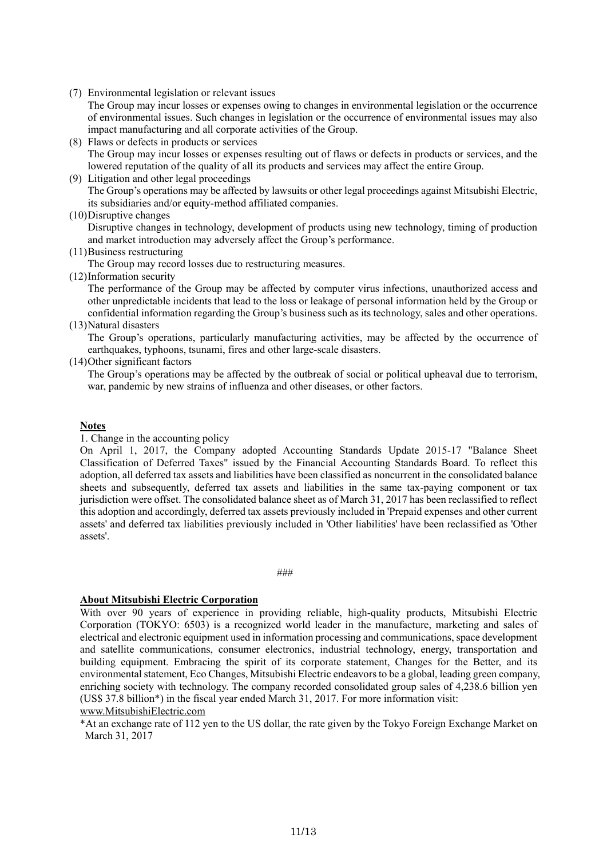(7) Environmental legislation or relevant issues

The Group may incur losses or expenses owing to changes in environmental legislation or the occurrence of environmental issues. Such changes in legislation or the occurrence of environmental issues may also impact manufacturing and all corporate activities of the Group.

- (8) Flaws or defects in products or services The Group may incur losses or expenses resulting out of flaws or defects in products or services, and the lowered reputation of the quality of all its products and services may affect the entire Group.
- (9) Litigation and other legal proceedings The Group's operations may be affected by lawsuits or other legal proceedings against Mitsubishi Electric, its subsidiaries and/or equity-method affiliated companies.
- (10)Disruptive changes

Disruptive changes in technology, development of products using new technology, timing of production and market introduction may adversely affect the Group's performance.

(11)Business restructuring

The Group may record losses due to restructuring measures.

(12)Information security

The performance of the Group may be affected by computer virus infections, unauthorized access and other unpredictable incidents that lead to the loss or leakage of personal information held by the Group or confidential information regarding the Group's business such as its technology, sales and other operations.

(13)Natural disasters

The Group's operations, particularly manufacturing activities, may be affected by the occurrence of earthquakes, typhoons, tsunami, fires and other large-scale disasters.

(14)Other significant factors

The Group's operations may be affected by the outbreak of social or political upheaval due to terrorism, war, pandemic by new strains of influenza and other diseases, or other factors.

### **Notes**

1. Change in the accounting policy

On April 1, 2017, the Company adopted Accounting Standards Update 2015-17 "Balance Sheet Classification of Deferred Taxes" issued by the Financial Accounting Standards Board. To reflect this adoption, all deferred tax assets and liabilities have been classified as noncurrent in the consolidated balance sheets and subsequently, deferred tax assets and liabilities in the same tax-paying component or tax jurisdiction were offset. The consolidated balance sheet as of March 31, 2017 has been reclassified to reflect this adoption and accordingly, deferred tax assets previously included in 'Prepaid expenses and other current assets' and deferred tax liabilities previously included in 'Other liabilities' have been reclassified as 'Other assets'.

###

#### **About Mitsubishi Electric Corporation**

With over 90 years of experience in providing reliable, high-quality products, Mitsubishi Electric Corporation (TOKYO: 6503) is a recognized world leader in the manufacture, marketing and sales of electrical and electronic equipment used in information processing and communications, space development and satellite communications, consumer electronics, industrial technology, energy, transportation and building equipment. Embracing the spirit of its corporate statement, Changes for the Better, and its environmental statement, Eco Changes, Mitsubishi Electric endeavors to be a global, leading green company, enriching society with technology. The company recorded consolidated group sales of 4,238.6 billion yen (US\$ 37.8 billion\*) in the fiscal year ended March 31, 2017. For more information visit:

www.MitsubishiElectric.com

\*At an exchange rate of 112 yen to the US dollar, the rate given by the Tokyo Foreign Exchange Market on March 31, 2017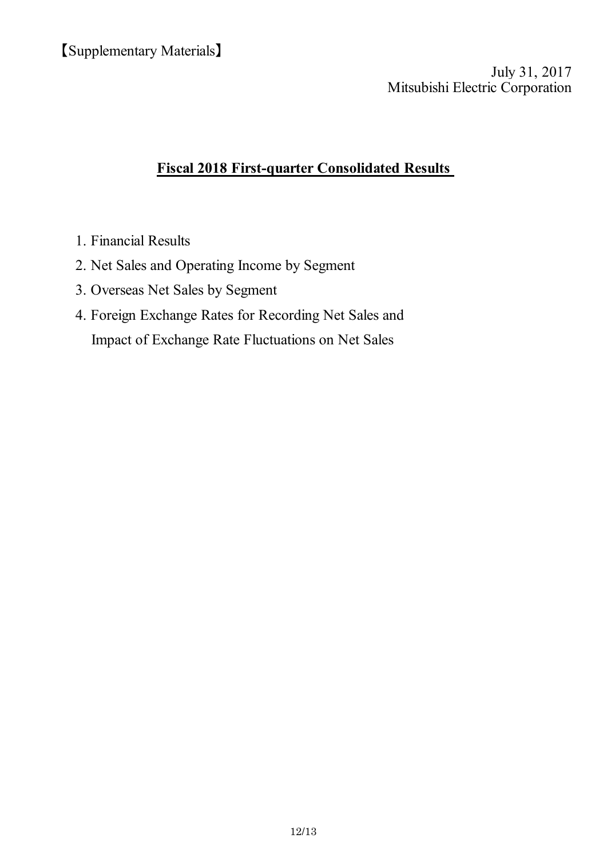Mitsubishi Electric Corporation July 31, 2017

# **Fiscal 2018 First-quarter Consolidated Results**

- 1. Financial Results
- 2. Net Sales and Operating Income by Segment
- 3. Overseas Net Sales by Segment
- 4. Foreign Exchange Rates for Recording Net Sales and Impact of Exchange Rate Fluctuations on Net Sales